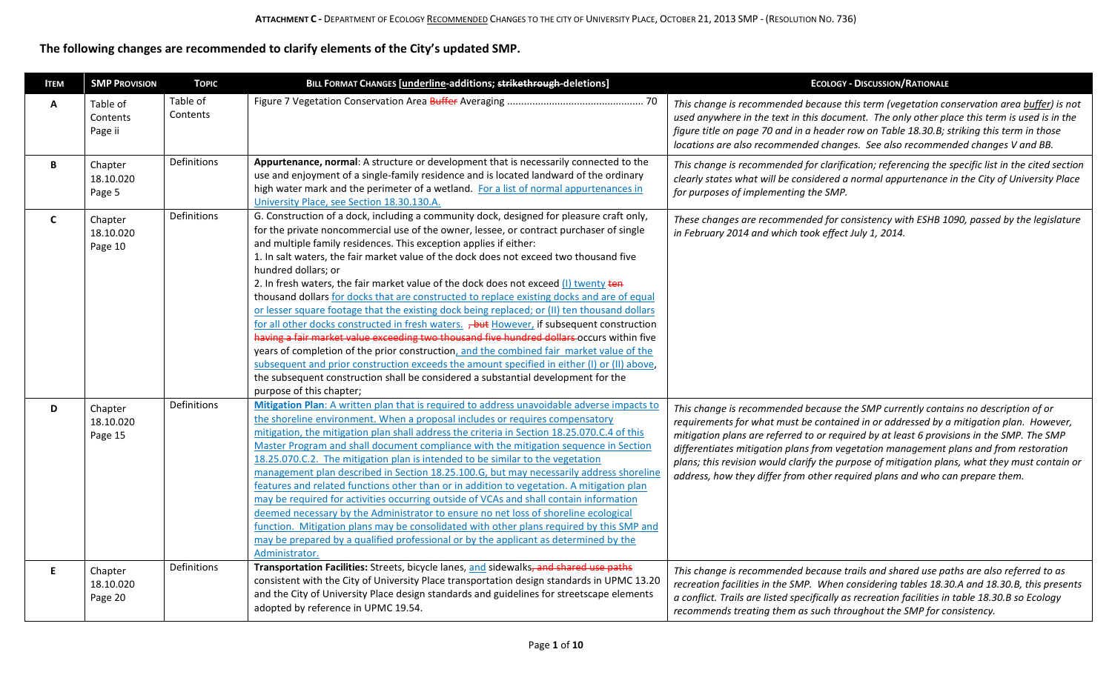**The following changes are recommended to clarify elements of the City's updated SMP.**

| <b>ITEM</b>  | <b>SMP PROVISION</b>            | <b>TOPIC</b>         | BILL FORMAT CHANGES [underline-additions; strikethrough-deletions]                                                                                                                                                                                                                                                                                                                                                                                                                                                                                                                                                                                                                                                                                                                                                                                                                                                                                                                                                                                                                                                                                                            | <b>ECOLOGY - DISCUSSION/RATIONALE</b>                                                                                                                                                                                                                                                                                                                                                                                                                                                                                                               |
|--------------|---------------------------------|----------------------|-------------------------------------------------------------------------------------------------------------------------------------------------------------------------------------------------------------------------------------------------------------------------------------------------------------------------------------------------------------------------------------------------------------------------------------------------------------------------------------------------------------------------------------------------------------------------------------------------------------------------------------------------------------------------------------------------------------------------------------------------------------------------------------------------------------------------------------------------------------------------------------------------------------------------------------------------------------------------------------------------------------------------------------------------------------------------------------------------------------------------------------------------------------------------------|-----------------------------------------------------------------------------------------------------------------------------------------------------------------------------------------------------------------------------------------------------------------------------------------------------------------------------------------------------------------------------------------------------------------------------------------------------------------------------------------------------------------------------------------------------|
| A            | Table of<br>Contents<br>Page ii | Table of<br>Contents |                                                                                                                                                                                                                                                                                                                                                                                                                                                                                                                                                                                                                                                                                                                                                                                                                                                                                                                                                                                                                                                                                                                                                                               | This change is recommended because this term (vegetation conservation area buffer) is not<br>used anywhere in the text in this document. The only other place this term is used is in the<br>figure title on page 70 and in a header row on Table 18.30.B; striking this term in those<br>locations are also recommended changes. See also recommended changes V and BB.                                                                                                                                                                            |
| В            | Chapter<br>18.10.020<br>Page 5  | Definitions          | Appurtenance, normal: A structure or development that is necessarily connected to the<br>use and enjoyment of a single-family residence and is located landward of the ordinary<br>high water mark and the perimeter of a wetland. For a list of normal appurtenances in<br>University Place, see Section 18.30.130.A.                                                                                                                                                                                                                                                                                                                                                                                                                                                                                                                                                                                                                                                                                                                                                                                                                                                        | This change is recommended for clarification; referencing the specific list in the cited section<br>clearly states what will be considered a normal appurtenance in the City of University Place<br>for purposes of implementing the SMP.                                                                                                                                                                                                                                                                                                           |
| $\mathsf{C}$ | Chapter<br>18.10.020<br>Page 10 | Definitions          | G. Construction of a dock, including a community dock, designed for pleasure craft only,<br>for the private noncommercial use of the owner, lessee, or contract purchaser of single<br>and multiple family residences. This exception applies if either:<br>1. In salt waters, the fair market value of the dock does not exceed two thousand five<br>hundred dollars; or<br>2. In fresh waters, the fair market value of the dock does not exceed (I) twenty ten<br>thousand dollars for docks that are constructed to replace existing docks and are of equal<br>or lesser square footage that the existing dock being replaced; or (II) ten thousand dollars<br>for all other docks constructed in fresh waters. <b>, but</b> However, if subsequent construction<br>having a fair market value exceeding two thousand five hundred dollars occurs within five<br>years of completion of the prior construction, and the combined fair market value of the<br>subsequent and prior construction exceeds the amount specified in either (I) or (II) above,<br>the subsequent construction shall be considered a substantial development for the<br>purpose of this chapter; | These changes are recommended for consistency with ESHB 1090, passed by the legislature<br>in February 2014 and which took effect July 1, 2014.                                                                                                                                                                                                                                                                                                                                                                                                     |
| D            | Chapter<br>18.10.020<br>Page 15 | Definitions          | Mitigation Plan: A written plan that is required to address unavoidable adverse impacts to<br>the shoreline environment. When a proposal includes or requires compensatory<br>mitigation, the mitigation plan shall address the criteria in Section 18.25.070.C.4 of this<br>Master Program and shall document compliance with the mitigation sequence in Section<br>18.25.070.C.2. The mitigation plan is intended to be similar to the vegetation<br>management plan described in Section 18.25.100.G, but may necessarily address shoreline<br>features and related functions other than or in addition to vegetation. A mitigation plan<br>may be required for activities occurring outside of VCAs and shall contain information<br>deemed necessary by the Administrator to ensure no net loss of shoreline ecological<br>function. Mitigation plans may be consolidated with other plans required by this SMP and<br>may be prepared by a qualified professional or by the applicant as determined by the<br>Administrator.                                                                                                                                            | This change is recommended because the SMP currently contains no description of or<br>requirements for what must be contained in or addressed by a mitigation plan. However,<br>mitigation plans are referred to or required by at least 6 provisions in the SMP. The SMP<br>differentiates mitigation plans from vegetation management plans and from restoration<br>plans; this revision would clarify the purpose of mitigation plans, what they must contain or<br>address, how they differ from other required plans and who can prepare them. |
| E            | Chapter<br>18.10.020<br>Page 20 | Definitions          | Transportation Facilities: Streets, bicycle lanes, and sidewalks, and shared use paths<br>consistent with the City of University Place transportation design standards in UPMC 13.20<br>and the City of University Place design standards and guidelines for streetscape elements<br>adopted by reference in UPMC 19.54.                                                                                                                                                                                                                                                                                                                                                                                                                                                                                                                                                                                                                                                                                                                                                                                                                                                      | This change is recommended because trails and shared use paths are also referred to as<br>recreation facilities in the SMP. When considering tables 18.30.A and 18.30.B, this presents<br>a conflict. Trails are listed specifically as recreation facilities in table 18.30.B so Ecology<br>recommends treating them as such throughout the SMP for consistency.                                                                                                                                                                                   |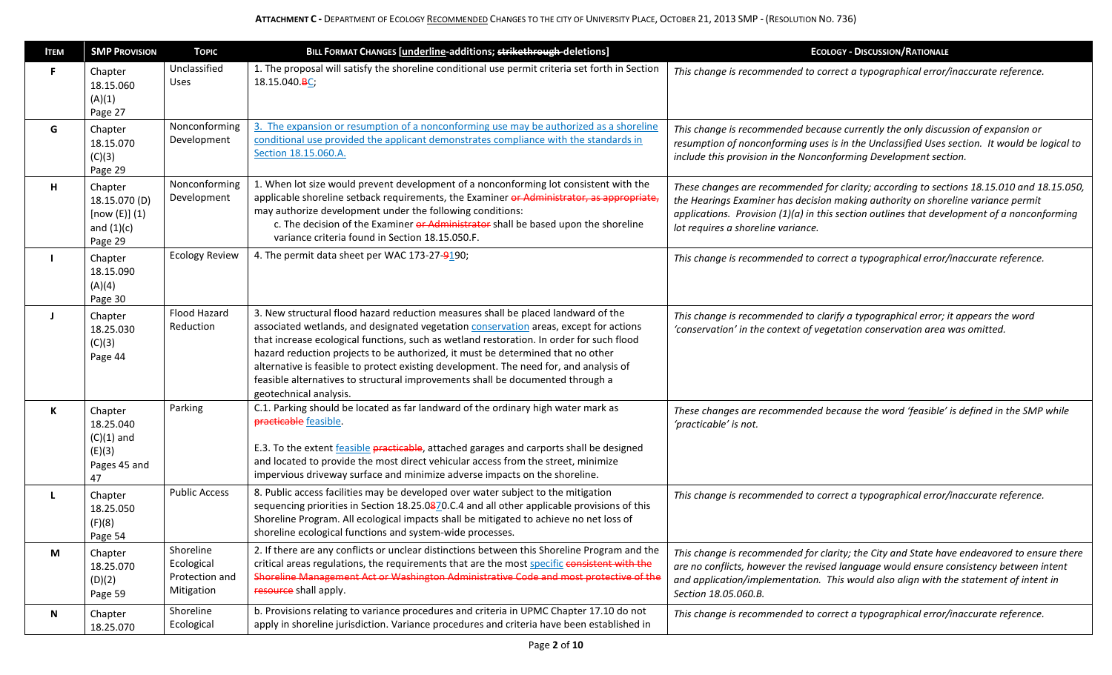| <b>ITEM</b> | <b>SMP PROVISION</b>                                                 | <b>TOPIC</b>                                            | BILL FORMAT CHANGES [underline-additions; strikethrough-deletions]                                                                                                                                                                                                                                                                                                                                                                                                                                                                                              | <b>ECOLOGY - DISCUSSION/RATIONALE</b>                                                                                                                                                                                                                                                                                |
|-------------|----------------------------------------------------------------------|---------------------------------------------------------|-----------------------------------------------------------------------------------------------------------------------------------------------------------------------------------------------------------------------------------------------------------------------------------------------------------------------------------------------------------------------------------------------------------------------------------------------------------------------------------------------------------------------------------------------------------------|----------------------------------------------------------------------------------------------------------------------------------------------------------------------------------------------------------------------------------------------------------------------------------------------------------------------|
| F.          | Chapter<br>18.15.060<br>(A)(1)<br>Page 27                            | Unclassified<br>Uses                                    | 1. The proposal will satisfy the shoreline conditional use permit criteria set forth in Section<br>18.15.040.BC;                                                                                                                                                                                                                                                                                                                                                                                                                                                | This change is recommended to correct a typographical error/inaccurate reference.                                                                                                                                                                                                                                    |
| G           | Chapter<br>18.15.070<br>(C)(3)<br>Page 29                            | Nonconforming<br>Development                            | 3. The expansion or resumption of a nonconforming use may be authorized as a shoreline<br>conditional use provided the applicant demonstrates compliance with the standards in<br>Section 18.15.060.A.                                                                                                                                                                                                                                                                                                                                                          | This change is recommended because currently the only discussion of expansion or<br>resumption of nonconforming uses is in the Unclassified Uses section. It would be logical to<br>include this provision in the Nonconforming Development section.                                                                 |
| H           | Chapter<br>18.15.070 (D)<br>[now (E)] (1)<br>and $(1)(c)$<br>Page 29 | Nonconforming<br>Development                            | 1. When lot size would prevent development of a nonconforming lot consistent with the<br>applicable shoreline setback requirements, the Examiner or Administrator, as appropriate,<br>may authorize development under the following conditions:<br>c. The decision of the Examiner or Administrator shall be based upon the shoreline<br>variance criteria found in Section 18.15.050.F.                                                                                                                                                                        | These changes are recommended for clarity; according to sections 18.15.010 and 18.15.050,<br>the Hearings Examiner has decision making authority on shoreline variance permit<br>applications. Provision $(1)(a)$ in this section outlines that development of a nonconforming<br>lot requires a shoreline variance. |
|             | Chapter<br>18.15.090<br>(A)(4)<br>Page 30                            | <b>Ecology Review</b>                                   | 4. The permit data sheet per WAC 173-27-9190;                                                                                                                                                                                                                                                                                                                                                                                                                                                                                                                   | This change is recommended to correct a typographical error/inaccurate reference.                                                                                                                                                                                                                                    |
|             | Chapter<br>18.25.030<br>(C)(3)<br>Page 44                            | Flood Hazard<br>Reduction                               | 3. New structural flood hazard reduction measures shall be placed landward of the<br>associated wetlands, and designated vegetation conservation areas, except for actions<br>that increase ecological functions, such as wetland restoration. In order for such flood<br>hazard reduction projects to be authorized, it must be determined that no other<br>alternative is feasible to protect existing development. The need for, and analysis of<br>feasible alternatives to structural improvements shall be documented through a<br>geotechnical analysis. | This change is recommended to clarify a typographical error; it appears the word<br>'conservation' in the context of vegetation conservation area was omitted.                                                                                                                                                       |
| K           | Chapter<br>18.25.040<br>$(C)(1)$ and<br>(E)(3)<br>Pages 45 and<br>47 | Parking                                                 | C.1. Parking should be located as far landward of the ordinary high water mark as<br>practicable feasible.<br>E.3. To the extent feasible practicable, attached garages and carports shall be designed<br>and located to provide the most direct vehicular access from the street, minimize<br>impervious driveway surface and minimize adverse impacts on the shoreline.                                                                                                                                                                                       | These changes are recommended because the word 'feasible' is defined in the SMP while<br>'practicable' is not.                                                                                                                                                                                                       |
|             | Chapter<br>18.25.050<br>(F)(8)<br>Page 54                            | <b>Public Access</b>                                    | 8. Public access facilities may be developed over water subject to the mitigation<br>sequencing priorities in Section 18.25.0870.C.4 and all other applicable provisions of this<br>Shoreline Program. All ecological impacts shall be mitigated to achieve no net loss of<br>shoreline ecological functions and system-wide processes.                                                                                                                                                                                                                         | This change is recommended to correct a typographical error/inaccurate reference.                                                                                                                                                                                                                                    |
| M           | Chapter<br>18.25.070<br>(D)(2)<br>Page 59                            | Shoreline<br>Ecological<br>Protection and<br>Mitigation | 2. If there are any conflicts or unclear distinctions between this Shoreline Program and the<br>critical areas regulations, the requirements that are the most specific consistent with the<br>Shoreline Management Act or Washington Administrative Code and most protective of the<br>resource shall apply.                                                                                                                                                                                                                                                   | This change is recommended for clarity; the City and State have endeavored to ensure there<br>are no conflicts, however the revised language would ensure consistency between intent<br>and application/implementation. This would also align with the statement of intent in<br>Section 18.05.060.B.                |
| Ν           | Chapter<br>18.25.070                                                 | Shoreline<br>Ecological                                 | b. Provisions relating to variance procedures and criteria in UPMC Chapter 17.10 do not<br>apply in shoreline jurisdiction. Variance procedures and criteria have been established in                                                                                                                                                                                                                                                                                                                                                                           | This change is recommended to correct a typographical error/inaccurate reference.                                                                                                                                                                                                                                    |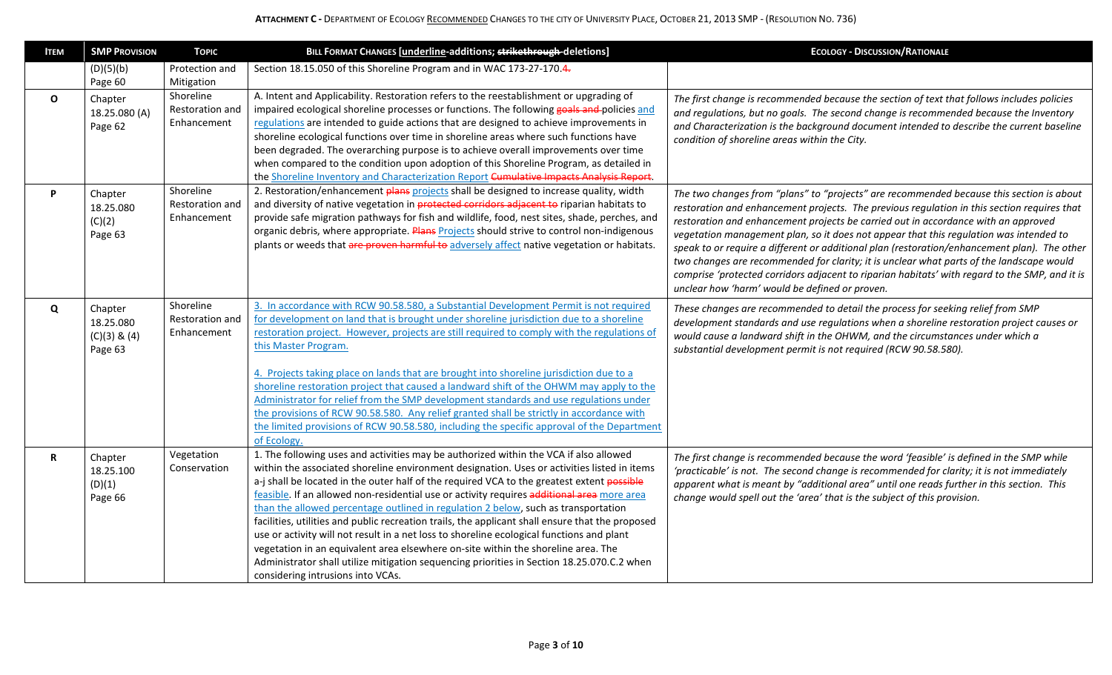| <b>ITEM</b>  | <b>SMP PROVISION</b>     | <b>TOPIC</b>                 | BILL FORMAT CHANGES [underline-additions; strikethrough-deletions]                                                                                                                        | <b>ECOLOGY - DISCUSSION/RATIONALE</b>                                                                                                                                               |
|--------------|--------------------------|------------------------------|-------------------------------------------------------------------------------------------------------------------------------------------------------------------------------------------|-------------------------------------------------------------------------------------------------------------------------------------------------------------------------------------|
|              | (D)(5)(b)                | Protection and               | Section 18.15.050 of this Shoreline Program and in WAC 173-27-170.4.                                                                                                                      |                                                                                                                                                                                     |
|              | Page 60                  | Mitigation                   |                                                                                                                                                                                           |                                                                                                                                                                                     |
| $\mathbf{o}$ | Chapter<br>18.25.080 (A) | Shoreline<br>Restoration and | A. Intent and Applicability. Restoration refers to the reestablishment or upgrading of<br>impaired ecological shoreline processes or functions. The following goals and policies and      | The first change is recommended because the section of text that follows includes policies<br>and regulations, but no goals. The second change is recommended because the Inventory |
|              | Page 62                  | Enhancement                  | regulations are intended to guide actions that are designed to achieve improvements in                                                                                                    | and Characterization is the background document intended to describe the current baseline                                                                                           |
|              |                          |                              | shoreline ecological functions over time in shoreline areas where such functions have                                                                                                     | condition of shoreline areas within the City.                                                                                                                                       |
|              |                          |                              | been degraded. The overarching purpose is to achieve overall improvements over time                                                                                                       |                                                                                                                                                                                     |
|              |                          |                              | when compared to the condition upon adoption of this Shoreline Program, as detailed in<br>the Shoreline Inventory and Characterization Report Cumulative Impacts Analysis Report.         |                                                                                                                                                                                     |
| P.           | Chapter                  | Shoreline                    | 2. Restoration/enhancement plans projects shall be designed to increase quality, width                                                                                                    | The two changes from "plans" to "projects" are recommended because this section is about                                                                                            |
|              | 18.25.080                | Restoration and              | and diversity of native vegetation in protected corridors adjacent to riparian habitats to                                                                                                | restoration and enhancement projects. The previous regulation in this section requires that                                                                                         |
|              | (C)(2)                   | Enhancement                  | provide safe migration pathways for fish and wildlife, food, nest sites, shade, perches, and                                                                                              | restoration and enhancement projects be carried out in accordance with an approved                                                                                                  |
|              | Page 63                  |                              | organic debris, where appropriate. Plans Projects should strive to control non-indigenous                                                                                                 | vegetation management plan, so it does not appear that this regulation was intended to                                                                                              |
|              |                          |                              | plants or weeds that are proven harmful to adversely affect native vegetation or habitats.                                                                                                | speak to or require a different or additional plan (restoration/enhancement plan). The other                                                                                        |
|              |                          |                              |                                                                                                                                                                                           | two changes are recommended for clarity; it is unclear what parts of the landscape would                                                                                            |
|              |                          |                              |                                                                                                                                                                                           | comprise 'protected corridors adjacent to riparian habitats' with regard to the SMP, and it is<br>unclear how 'harm' would be defined or proven.                                    |
|              |                          | Shoreline                    | 3. In accordance with RCW 90.58.580, a Substantial Development Permit is not required                                                                                                     |                                                                                                                                                                                     |
| Q            | Chapter<br>18.25.080     | <b>Restoration and</b>       | for development on land that is brought under shoreline jurisdiction due to a shoreline                                                                                                   | These changes are recommended to detail the process for seeking relief from SMP<br>development standards and use regulations when a shoreline restoration project causes or         |
|              | $(C)(3)$ & $(4)$         | Enhancement                  | restoration project. However, projects are still required to comply with the regulations of                                                                                               | would cause a landward shift in the OHWM, and the circumstances under which a                                                                                                       |
|              | Page 63                  |                              | this Master Program.                                                                                                                                                                      | substantial development permit is not required (RCW 90.58.580).                                                                                                                     |
|              |                          |                              |                                                                                                                                                                                           |                                                                                                                                                                                     |
|              |                          |                              | 4. Projects taking place on lands that are brought into shoreline jurisdiction due to a<br>shoreline restoration project that caused a landward shift of the OHWM may apply to the        |                                                                                                                                                                                     |
|              |                          |                              | Administrator for relief from the SMP development standards and use regulations under                                                                                                     |                                                                                                                                                                                     |
|              |                          |                              | the provisions of RCW 90.58.580. Any relief granted shall be strictly in accordance with                                                                                                  |                                                                                                                                                                                     |
|              |                          |                              | the limited provisions of RCW 90.58.580, including the specific approval of the Department                                                                                                |                                                                                                                                                                                     |
|              |                          |                              | of Ecology.                                                                                                                                                                               |                                                                                                                                                                                     |
| $\mathbf R$  | Chapter                  | Vegetation                   | 1. The following uses and activities may be authorized within the VCA if also allowed                                                                                                     | The first change is recommended because the word 'feasible' is defined in the SMP while                                                                                             |
|              | 18.25.100                | Conservation                 | within the associated shoreline environment designation. Uses or activities listed in items<br>a-j shall be located in the outer half of the required VCA to the greatest extent possible | 'practicable' is not. The second change is recommended for clarity; it is not immediately                                                                                           |
|              | (D)(1)                   |                              | feasible. If an allowed non-residential use or activity requires additional area more area                                                                                                | apparent what is meant by "additional area" until one reads further in this section. This                                                                                           |
|              | Page 66                  |                              | than the allowed percentage outlined in regulation 2 below, such as transportation                                                                                                        | change would spell out the 'area' that is the subject of this provision.                                                                                                            |
|              |                          |                              | facilities, utilities and public recreation trails, the applicant shall ensure that the proposed                                                                                          |                                                                                                                                                                                     |
|              |                          |                              | use or activity will not result in a net loss to shoreline ecological functions and plant                                                                                                 |                                                                                                                                                                                     |
|              |                          |                              | vegetation in an equivalent area elsewhere on-site within the shoreline area. The                                                                                                         |                                                                                                                                                                                     |
|              |                          |                              | Administrator shall utilize mitigation sequencing priorities in Section 18.25.070.C.2 when                                                                                                |                                                                                                                                                                                     |
|              |                          |                              | considering intrusions into VCAs.                                                                                                                                                         |                                                                                                                                                                                     |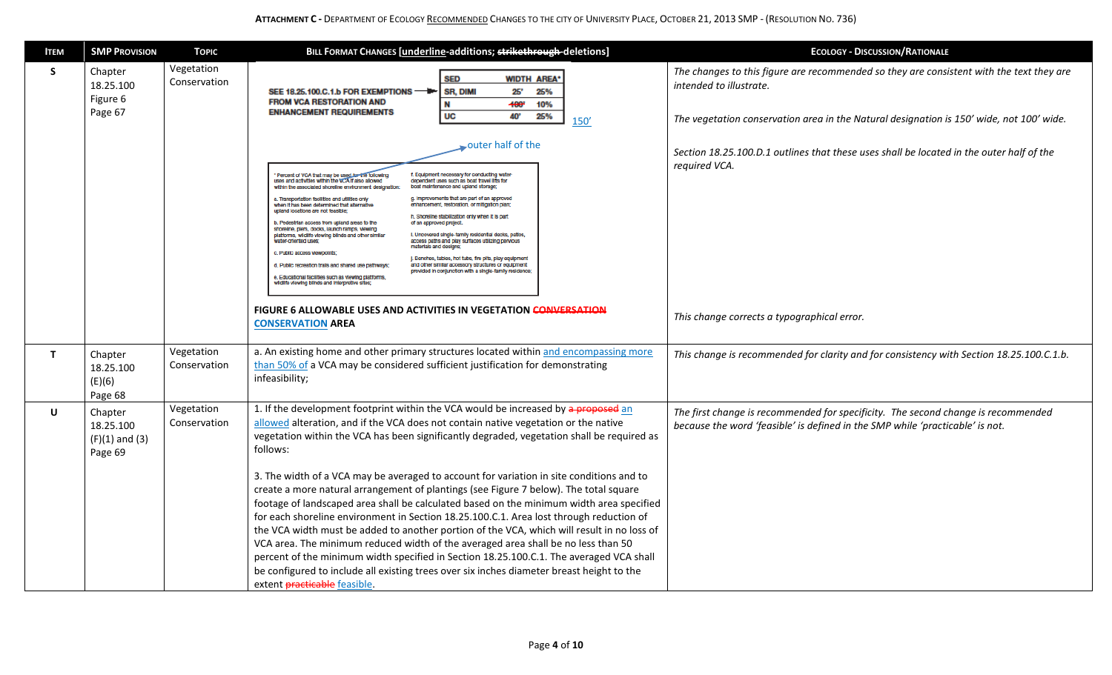## **ATTACHMENT C -** DEPARTMENT OF ECOLOGY RECOMMENDED CHANGES TO THE CITY OF UNIVERSITY PLACE, OCTOBER 21, 2013 SMP - (RESOLUTION NO. 736)

| <b>ITEM</b>  | <b>SMP PROVISION</b>                                  | <b>TOPIC</b>               | BILL FORMAT CHANGES [underline-additions; strikethrough-deletions]                                                                                                                                                                                                                                                                                                                                                                                                                                                                                                                                                                                                                                                                                                                                                                                                                                                                                                                                                                                                                                                                                                                                                                                                                                                                                                                                                                                                                                                                                                                                                                                                                    | <b>ECOLOGY - DISCUSSION/RATIONALE</b>                                                                                                                                                                                                                                                                                                                                       |
|--------------|-------------------------------------------------------|----------------------------|---------------------------------------------------------------------------------------------------------------------------------------------------------------------------------------------------------------------------------------------------------------------------------------------------------------------------------------------------------------------------------------------------------------------------------------------------------------------------------------------------------------------------------------------------------------------------------------------------------------------------------------------------------------------------------------------------------------------------------------------------------------------------------------------------------------------------------------------------------------------------------------------------------------------------------------------------------------------------------------------------------------------------------------------------------------------------------------------------------------------------------------------------------------------------------------------------------------------------------------------------------------------------------------------------------------------------------------------------------------------------------------------------------------------------------------------------------------------------------------------------------------------------------------------------------------------------------------------------------------------------------------------------------------------------------------|-----------------------------------------------------------------------------------------------------------------------------------------------------------------------------------------------------------------------------------------------------------------------------------------------------------------------------------------------------------------------------|
| S            | Chapter<br>18.25.100<br>Figure 6<br>Page 67           | Vegetation<br>Conservation | <b>SED</b><br><b>WIDTH AREA*</b><br><b>SR, DIMI</b><br>25'<br>25%<br>SEE 18.25.100.C.1.b FOR EXEMPTIONS -<br><b>FROM VCA RESTORATION AND</b><br>$+00^{\circ}$<br>10%<br><b>ENHANCEMENT REQUIREMENTS</b><br><b>UC</b><br>40'<br>25%<br>150'<br>outer half of the<br>Percent of VCA that may be used for the following<br>f. Equipment necessary for conducting water-<br>dependent uses such as boat travel lifts for<br>uses and activities within the VCA if also allowed<br>within the associated shoreline environment designation:<br>boat maintenance and upland storage;<br>g. Improvements that are part of an approved<br>a. Transportation facilities and utilities only<br>enhancement, restoration, or mitigation plan;<br>when It has been determined that alternative<br>upland locations are not feasible;<br>h. Shoreline stabilization only when it is part<br>of an approved project.<br>b. Pedestrian access from upland areas to the<br>shoreline, piers, docks, launch ramps, viewing<br>platforms, wildlife viewing blinds and other similar<br>I. Uncovered single-family residential decks, patios,<br>water-oriented uses;<br>access paths and play surfaces utilizing pervious<br>materials and designs;<br>c. Public access viewpoints<br>J. Benches, tables, hot tubs, fire pits, play equipment<br>d. Public recreation trails and shared use pathways:<br>and other similar accessory structures or equipment<br>provided in conjunction with a single-family residence;<br>e. Educational facilities such as viewing platforms,<br>wildlife viewing blinds and interpretive sites;<br>FIGURE 6 ALLOWABLE USES AND ACTIVITIES IN VEGETATION CONVERSATION | The changes to this figure are recommended so they are consistent with the text they are<br>intended to illustrate.<br>The vegetation conservation area in the Natural designation is 150' wide, not 100' wide.<br>Section 18.25.100.D.1 outlines that these uses shall be located in the outer half of the<br>required VCA.<br>This change corrects a typographical error. |
|              |                                                       |                            | <b>CONSERVATION AREA</b>                                                                                                                                                                                                                                                                                                                                                                                                                                                                                                                                                                                                                                                                                                                                                                                                                                                                                                                                                                                                                                                                                                                                                                                                                                                                                                                                                                                                                                                                                                                                                                                                                                                              |                                                                                                                                                                                                                                                                                                                                                                             |
| $\mathbf{T}$ | Chapter<br>18.25.100<br>(E)(6)<br>Page 68             | Vegetation<br>Conservation | a. An existing home and other primary structures located within and encompassing more<br>than 50% of a VCA may be considered sufficient justification for demonstrating<br>infeasibility;                                                                                                                                                                                                                                                                                                                                                                                                                                                                                                                                                                                                                                                                                                                                                                                                                                                                                                                                                                                                                                                                                                                                                                                                                                                                                                                                                                                                                                                                                             | This change is recommended for clarity and for consistency with Section 18.25.100.C.1.b.                                                                                                                                                                                                                                                                                    |
| U            | Chapter<br>18.25.100<br>$(F)(1)$ and $(3)$<br>Page 69 | Vegetation<br>Conservation | 1. If the development footprint within the VCA would be increased by a proposed an<br>allowed alteration, and if the VCA does not contain native vegetation or the native<br>vegetation within the VCA has been significantly degraded, vegetation shall be required as<br>follows:<br>3. The width of a VCA may be averaged to account for variation in site conditions and to<br>create a more natural arrangement of plantings (see Figure 7 below). The total square<br>footage of landscaped area shall be calculated based on the minimum width area specified<br>for each shoreline environment in Section 18.25.100.C.1. Area lost through reduction of<br>the VCA width must be added to another portion of the VCA, which will result in no loss of<br>VCA area. The minimum reduced width of the averaged area shall be no less than 50<br>percent of the minimum width specified in Section 18.25.100.C.1. The averaged VCA shall<br>be configured to include all existing trees over six inches diameter breast height to the<br>extent practicable feasible.                                                                                                                                                                                                                                                                                                                                                                                                                                                                                                                                                                                                            | The first change is recommended for specificity. The second change is recommended<br>because the word 'feasible' is defined in the SMP while 'practicable' is not.                                                                                                                                                                                                          |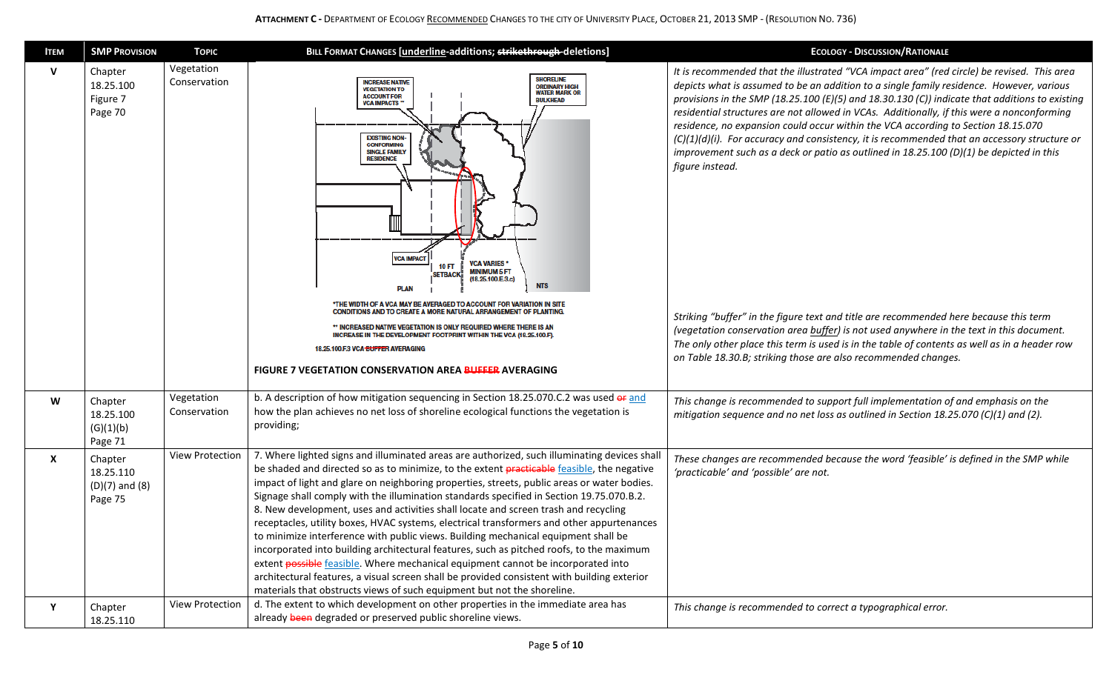## **ATTACHMENT C -** DEPARTMENT OF ECOLOGY RECOMMENDED CHANGES TO THE CITY OF UNIVERSITY PLACE, OCTOBER 21, 2013 SMP - (RESOLUTION NO. 736)

| <b>ITEM</b>  | <b>SMP PROVISION</b>                                  | <b>TOPIC</b>               | BILL FORMAT CHANGES [underline-additions; strikethrough-deletions]                                                                                                                                                                                                                                                                                                                                                                                                                                                                                                                                                                                                                                                                                                                                                                                                                                                                                                                                                        | <b>ECOLOGY - DISCUSSION/RATIONALE</b>                                                                                                                                                                                                                                                                                                                                                                                                                                                                                                                                                                                                                                                                                                                                                                                                                                                                                                                                                                                                                |
|--------------|-------------------------------------------------------|----------------------------|---------------------------------------------------------------------------------------------------------------------------------------------------------------------------------------------------------------------------------------------------------------------------------------------------------------------------------------------------------------------------------------------------------------------------------------------------------------------------------------------------------------------------------------------------------------------------------------------------------------------------------------------------------------------------------------------------------------------------------------------------------------------------------------------------------------------------------------------------------------------------------------------------------------------------------------------------------------------------------------------------------------------------|------------------------------------------------------------------------------------------------------------------------------------------------------------------------------------------------------------------------------------------------------------------------------------------------------------------------------------------------------------------------------------------------------------------------------------------------------------------------------------------------------------------------------------------------------------------------------------------------------------------------------------------------------------------------------------------------------------------------------------------------------------------------------------------------------------------------------------------------------------------------------------------------------------------------------------------------------------------------------------------------------------------------------------------------------|
| $\mathbf{V}$ | Chapter<br>18.25.100<br>Figure 7<br>Page 70           | Vegetation<br>Conservation | <b>SHORELINE</b><br><b>INCREASE NATIVE</b><br><b>ORDINARY HIGH</b><br><b>VEGETATION TO</b><br><b>WATER MARK OR</b><br><b>ACCOUNT FOR</b><br><b>BULKHEAD</b><br><b>VCA IMPACTS*</b><br><b>EXISTING NON-</b><br><b>CONFORMING</b><br><b>SINGLE FAMILY</b><br><b>RESIDENCE</b><br><b>VCA IMPACT</b><br><b>VCA VARIES*</b><br>10 FT<br><b>MINIMUM 5 FT</b><br><b>SETBACK</b><br>(18.25.100.E.3.c)<br><b>NTS</b><br><b>PLAN</b><br>*THE WIDTH OF A VCA MAY BE AVERAGED TO ACCOUNT FOR VARIATION IN SITE<br>CONDITIONS AND TO CREATE A MORE NATURAL ARRANGEMENT OF PLANTING.<br>* INCREASED NATIVE VEGETATION IS ONLY REQUIRED WHERE THERE IS AN<br>INCREASE IN THE DEVELOPMENT FOOTPRINT WITHIN THE VCA (18.25.100.F).<br>18.25.100.F.3 VCA BUFFER AVERAGING<br>FIGURE 7 VEGETATION CONSERVATION AREA BUFFER AVERAGING                                                                                                                                                                                                         | It is recommended that the illustrated "VCA impact area" (red circle) be revised. This area<br>depicts what is assumed to be an addition to a single family residence. However, various<br>provisions in the SMP (18.25.100 (E)(5) and 18.30.130 (C)) indicate that additions to existing<br>residential structures are not allowed in VCAs. Additionally, if this were a nonconforming<br>residence, no expansion could occur within the VCA according to Section 18.15.070<br>(C)(1)(d)(i). For accuracy and consistency, it is recommended that an accessory structure or<br>improvement such as a deck or patio as outlined in $18.25.100$ (D)(1) be depicted in this<br>figure instead.<br>Striking "buffer" in the figure text and title are recommended here because this term<br>(vegetation conservation area buffer) is not used anywhere in the text in this document.<br>The only other place this term is used is in the table of contents as well as in a header row<br>on Table 18.30.B; striking those are also recommended changes. |
| W            | Chapter<br>18.25.100<br>(G)(1)(b)<br>Page 71          | Vegetation<br>Conservation | b. A description of how mitigation sequencing in Section 18.25.070.C.2 was used or and<br>how the plan achieves no net loss of shoreline ecological functions the vegetation is<br>providing;                                                                                                                                                                                                                                                                                                                                                                                                                                                                                                                                                                                                                                                                                                                                                                                                                             | This change is recommended to support full implementation of and emphasis on the<br>mitigation sequence and no net loss as outlined in Section 18.25.070 (C)(1) and (2).                                                                                                                                                                                                                                                                                                                                                                                                                                                                                                                                                                                                                                                                                                                                                                                                                                                                             |
| X            | Chapter<br>18.25.110<br>$(D)(7)$ and $(8)$<br>Page 75 | View Protection            | 7. Where lighted signs and illuminated areas are authorized, such illuminating devices shall<br>be shaded and directed so as to minimize, to the extent practicable feasible, the negative<br>impact of light and glare on neighboring properties, streets, public areas or water bodies.<br>Signage shall comply with the illumination standards specified in Section 19.75.070.B.2.<br>8. New development, uses and activities shall locate and screen trash and recycling<br>receptacles, utility boxes, HVAC systems, electrical transformers and other appurtenances<br>to minimize interference with public views. Building mechanical equipment shall be<br>incorporated into building architectural features, such as pitched roofs, to the maximum<br>extent possible feasible. Where mechanical equipment cannot be incorporated into<br>architectural features, a visual screen shall be provided consistent with building exterior<br>materials that obstructs views of such equipment but not the shoreline. | These changes are recommended because the word 'feasible' is defined in the SMP while<br>'practicable' and 'possible' are not.                                                                                                                                                                                                                                                                                                                                                                                                                                                                                                                                                                                                                                                                                                                                                                                                                                                                                                                       |
| Y            | Chapter<br>18.25.110                                  | <b>View Protection</b>     | d. The extent to which development on other properties in the immediate area has<br>already been degraded or preserved public shoreline views.                                                                                                                                                                                                                                                                                                                                                                                                                                                                                                                                                                                                                                                                                                                                                                                                                                                                            | This change is recommended to correct a typographical error.                                                                                                                                                                                                                                                                                                                                                                                                                                                                                                                                                                                                                                                                                                                                                                                                                                                                                                                                                                                         |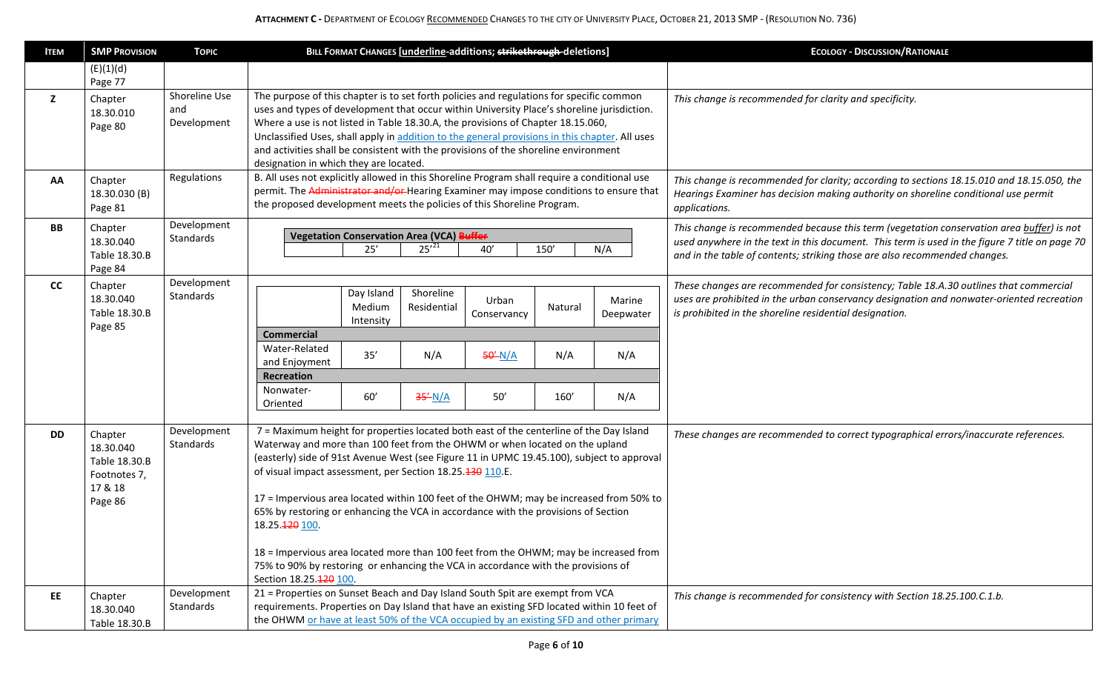| <b>ITEM</b> | <b>SMP PROVISION</b>                                                        | <b>TOPIC</b>                        | BILL FORMAT CHANGES [underline-additions; strikethrough-deletions]                                                                                                                                                                                                                                                                                                                                                                                                                                                                                                                                                                                                                                                                         | <b>ECOLOGY - DISCUSSION/RATIONALE</b>                                                                                                                                                                                                                                     |
|-------------|-----------------------------------------------------------------------------|-------------------------------------|--------------------------------------------------------------------------------------------------------------------------------------------------------------------------------------------------------------------------------------------------------------------------------------------------------------------------------------------------------------------------------------------------------------------------------------------------------------------------------------------------------------------------------------------------------------------------------------------------------------------------------------------------------------------------------------------------------------------------------------------|---------------------------------------------------------------------------------------------------------------------------------------------------------------------------------------------------------------------------------------------------------------------------|
|             | (E)(1)(d)                                                                   |                                     |                                                                                                                                                                                                                                                                                                                                                                                                                                                                                                                                                                                                                                                                                                                                            |                                                                                                                                                                                                                                                                           |
| z           | Page 77<br>Chapter<br>18.30.010<br>Page 80                                  | Shoreline Use<br>and<br>Development | The purpose of this chapter is to set forth policies and regulations for specific common<br>uses and types of development that occur within University Place's shoreline jurisdiction.<br>Where a use is not listed in Table 18.30.A, the provisions of Chapter 18.15.060,<br>Unclassified Uses, shall apply in addition to the general provisions in this chapter. All uses<br>and activities shall be consistent with the provisions of the shoreline environment<br>designation in which they are located.                                                                                                                                                                                                                              | This change is recommended for clarity and specificity.                                                                                                                                                                                                                   |
| AA          | Chapter<br>18.30.030 (B)<br>Page 81                                         | Regulations                         | B. All uses not explicitly allowed in this Shoreline Program shall require a conditional use<br>permit. The Administrator and/or Hearing Examiner may impose conditions to ensure that<br>the proposed development meets the policies of this Shoreline Program.                                                                                                                                                                                                                                                                                                                                                                                                                                                                           | This change is recommended for clarity; according to sections 18.15.010 and 18.15.050, the<br>Hearings Examiner has decision making authority on shoreline conditional use permit<br>applications.                                                                        |
| BB          | Chapter<br>18.30.040<br>Table 18.30.B<br>Page 84                            | Development<br>Standards            | <b>Vegetation Conservation Area (VCA) Buffer</b><br>$25'^{21}$<br>25'<br>40'<br>150'<br>N/A                                                                                                                                                                                                                                                                                                                                                                                                                                                                                                                                                                                                                                                | This change is recommended because this term (vegetation conservation area buffer) is not<br>used anywhere in the text in this document. This term is used in the figure 7 title on page 70<br>and in the table of contents; striking those are also recommended changes. |
| cc          | Chapter<br>18.30.040<br>Table 18.30.B<br>Page 85                            | Development<br>Standards            | Day Island<br>Shoreline<br>Urban<br>Marine<br>Medium<br>Residential<br>Natural<br>Deepwater<br>Conservancy<br>Intensity<br><b>Commercial</b><br>Water-Related<br>35'<br>N/A<br>N/A<br>$50^{\prime}$ N/A<br>N/A<br>and Enjoyment<br>Recreation<br>Nonwater-<br>60'<br>$35^{\prime}$ N/A<br>50'<br>160'<br>N/A<br>Oriented                                                                                                                                                                                                                                                                                                                                                                                                                   | These changes are recommended for consistency; Table 18.A.30 outlines that commercial<br>uses are prohibited in the urban conservancy designation and nonwater-oriented recreation<br>is prohibited in the shoreline residential designation.                             |
| <b>DD</b>   | Chapter<br>18.30.040<br>Table 18.30.B<br>Footnotes 7,<br>17 & 18<br>Page 86 | Development<br>Standards            | 7 = Maximum height for properties located both east of the centerline of the Day Island<br>Waterway and more than 100 feet from the OHWM or when located on the upland<br>(easterly) side of 91st Avenue West (see Figure 11 in UPMC 19.45.100), subject to approval<br>of visual impact assessment, per Section 18.25.430 110.E.<br>17 = Impervious area located within 100 feet of the OHWM; may be increased from 50% to<br>65% by restoring or enhancing the VCA in accordance with the provisions of Section<br>18.25.420 100.<br>18 = Impervious area located more than 100 feet from the OHWM; may be increased from<br>75% to 90% by restoring or enhancing the VCA in accordance with the provisions of<br>Section 18.25.120 100. | These changes are recommended to correct typographical errors/inaccurate references.                                                                                                                                                                                      |
| EE.         | Chapter<br>18.30.040<br>Table 18.30.B                                       | Development<br>Standards            | 21 = Properties on Sunset Beach and Day Island South Spit are exempt from VCA<br>requirements. Properties on Day Island that have an existing SFD located within 10 feet of<br>the OHWM or have at least 50% of the VCA occupied by an existing SFD and other primary                                                                                                                                                                                                                                                                                                                                                                                                                                                                      | This change is recommended for consistency with Section 18.25.100.C.1.b.                                                                                                                                                                                                  |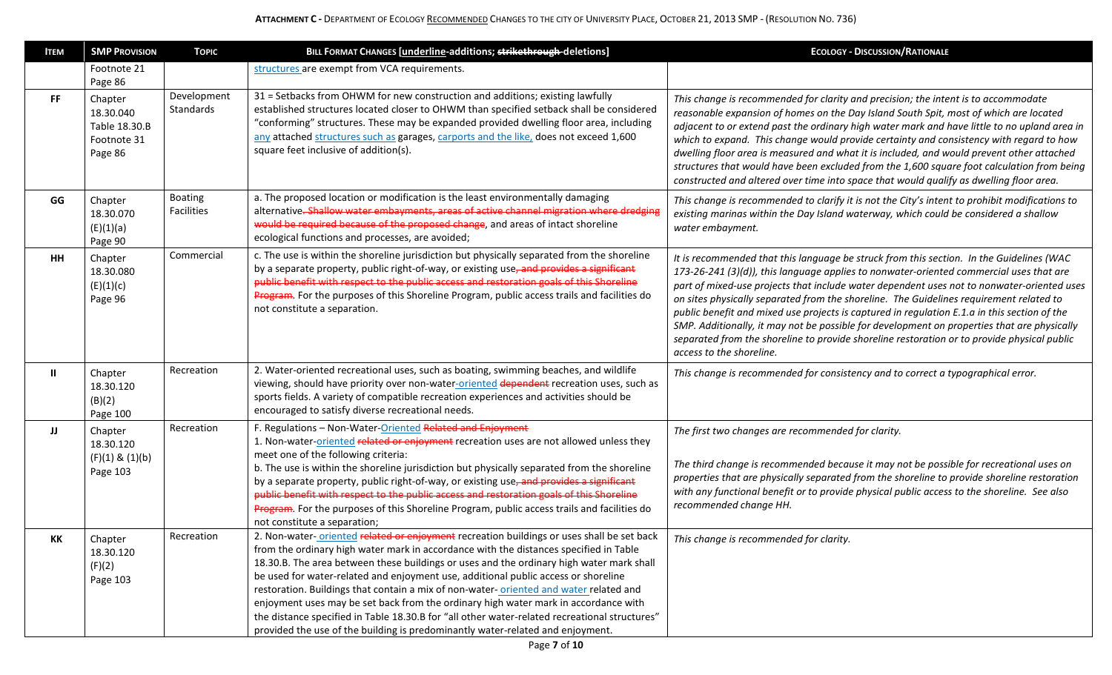| <b>ITEM</b> | <b>SMP PROVISION</b>                                            | <b>TOPIC</b>             | BILL FORMAT CHANGES [underline-additions; strikethrough-deletions]                                                                                                                                                                                                                                                                                                                                                                                                                                                                                                                                                                                                                                                                      | <b>ECOLOGY - DISCUSSION/RATIONALE</b>                                                                                                                                                                                                                                                                                                                                                                                                                                                                                                                                                                                                                                                                  |
|-------------|-----------------------------------------------------------------|--------------------------|-----------------------------------------------------------------------------------------------------------------------------------------------------------------------------------------------------------------------------------------------------------------------------------------------------------------------------------------------------------------------------------------------------------------------------------------------------------------------------------------------------------------------------------------------------------------------------------------------------------------------------------------------------------------------------------------------------------------------------------------|--------------------------------------------------------------------------------------------------------------------------------------------------------------------------------------------------------------------------------------------------------------------------------------------------------------------------------------------------------------------------------------------------------------------------------------------------------------------------------------------------------------------------------------------------------------------------------------------------------------------------------------------------------------------------------------------------------|
|             | Footnote 21<br>Page 86                                          |                          | structures are exempt from VCA requirements.                                                                                                                                                                                                                                                                                                                                                                                                                                                                                                                                                                                                                                                                                            |                                                                                                                                                                                                                                                                                                                                                                                                                                                                                                                                                                                                                                                                                                        |
| FF.         | Chapter<br>18.30.040<br>Table 18.30.B<br>Footnote 31<br>Page 86 | Development<br>Standards | 31 = Setbacks from OHWM for new construction and additions; existing lawfully<br>established structures located closer to OHWM than specified setback shall be considered<br>"conforming" structures. These may be expanded provided dwelling floor area, including<br>any attached structures such as garages, carports and the like, does not exceed 1,600<br>square feet inclusive of addition(s).                                                                                                                                                                                                                                                                                                                                   | This change is recommended for clarity and precision; the intent is to accommodate<br>reasonable expansion of homes on the Day Island South Spit, most of which are located<br>adjacent to or extend past the ordinary high water mark and have little to no upland area in<br>which to expand. This change would provide certainty and consistency with regard to how<br>dwelling floor area is measured and what it is included, and would prevent other attached<br>structures that would have been excluded from the 1,600 square foot calculation from being<br>constructed and altered over time into space that would qualify as dwelling floor area.                                           |
| GG          | Chapter<br>18.30.070<br>(E)(1)(a)<br>Page 90                    | Boating<br>Facilities    | a. The proposed location or modification is the least environmentally damaging<br>alternative. Shallow water embayments, areas of active channel migration where dredging<br>would be required because of the proposed change, and areas of intact shoreline<br>ecological functions and processes, are avoided;                                                                                                                                                                                                                                                                                                                                                                                                                        | This change is recommended to clarify it is not the City's intent to prohibit modifications to<br>existing marinas within the Day Island waterway, which could be considered a shallow<br>water embayment.                                                                                                                                                                                                                                                                                                                                                                                                                                                                                             |
| <b>HH</b>   | Chapter<br>18.30.080<br>(E)(1)(c)<br>Page 96                    | Commercial               | c. The use is within the shoreline jurisdiction but physically separated from the shoreline<br>by a separate property, public right-of-way, or existing use, and provides a significant<br>public benefit with respect to the public access and restoration goals of this Shoreline<br>Program. For the purposes of this Shoreline Program, public access trails and facilities do<br>not constitute a separation.                                                                                                                                                                                                                                                                                                                      | It is recommended that this language be struck from this section. In the Guidelines (WAC<br>173-26-241 (3)(d)), this language applies to nonwater-oriented commercial uses that are<br>part of mixed-use projects that include water dependent uses not to nonwater-oriented uses<br>on sites physically separated from the shoreline. The Guidelines requirement related to<br>public benefit and mixed use projects is captured in regulation E.1.a in this section of the<br>SMP. Additionally, it may not be possible for development on properties that are physically<br>separated from the shoreline to provide shoreline restoration or to provide physical public<br>access to the shoreline. |
| ш           | Chapter<br>18.30.120<br>(B)(2)<br>Page 100                      | Recreation               | 2. Water-oriented recreational uses, such as boating, swimming beaches, and wildlife<br>viewing, should have priority over non-water-oriented dependent recreation uses, such as<br>sports fields. A variety of compatible recreation experiences and activities should be<br>encouraged to satisfy diverse recreational needs.                                                                                                                                                                                                                                                                                                                                                                                                         | This change is recommended for consistency and to correct a typographical error.                                                                                                                                                                                                                                                                                                                                                                                                                                                                                                                                                                                                                       |
| IJ          | Chapter<br>18.30.120<br>$(F)(1)$ & $(1)(b)$<br>Page 103         | Recreation               | F. Regulations - Non-Water-Oriented Related and Enjoyment<br>1. Non-water-oriented related or enjoyment recreation uses are not allowed unless they<br>meet one of the following criteria:<br>b. The use is within the shoreline jurisdiction but physically separated from the shoreline<br>by a separate property, public right-of-way, or existing use, and provides a significant<br>public benefit with respect to the public access and restoration goals of this Shoreline<br>Program. For the purposes of this Shoreline Program, public access trails and facilities do<br>not constitute a separation;                                                                                                                        | The first two changes are recommended for clarity.<br>The third change is recommended because it may not be possible for recreational uses on<br>properties that are physically separated from the shoreline to provide shoreline restoration<br>with any functional benefit or to provide physical public access to the shoreline. See also<br>recommended change HH.                                                                                                                                                                                                                                                                                                                                 |
| KK          | Chapter<br>18.30.120<br>(F)(2)<br>Page 103                      | Recreation               | 2. Non-water-oriented related or enjoyment recreation buildings or uses shall be set back<br>from the ordinary high water mark in accordance with the distances specified in Table<br>18.30.B. The area between these buildings or uses and the ordinary high water mark shall<br>be used for water-related and enjoyment use, additional public access or shoreline<br>restoration. Buildings that contain a mix of non-water-oriented and water related and<br>enjoyment uses may be set back from the ordinary high water mark in accordance with<br>the distance specified in Table 18.30.B for "all other water-related recreational structures"<br>provided the use of the building is predominantly water-related and enjoyment. | This change is recommended for clarity.                                                                                                                                                                                                                                                                                                                                                                                                                                                                                                                                                                                                                                                                |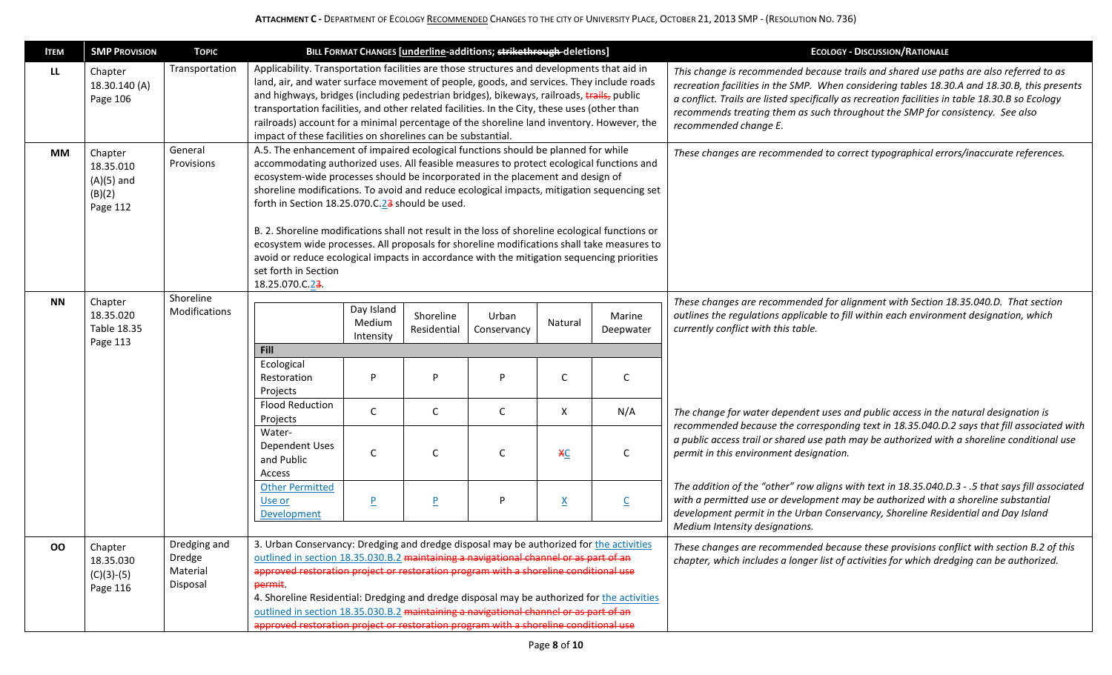| <b>ITEM</b> | <b>SMP PROVISION</b>                                       | <b>TOPIC</b>                                   |                                                                                                                                                                                                                                                                                                                                                                                                                                                                                                                                                                    |                                   |                          | BILL FORMAT CHANGES [underline-additions; strikethrough-deletions] |                 |                         | <b>ECOLOGY - DISCUSSION/RATIONALE</b>                                                                                                                                                                                                                                                                                                                                                               |
|-------------|------------------------------------------------------------|------------------------------------------------|--------------------------------------------------------------------------------------------------------------------------------------------------------------------------------------------------------------------------------------------------------------------------------------------------------------------------------------------------------------------------------------------------------------------------------------------------------------------------------------------------------------------------------------------------------------------|-----------------------------------|--------------------------|--------------------------------------------------------------------|-----------------|-------------------------|-----------------------------------------------------------------------------------------------------------------------------------------------------------------------------------------------------------------------------------------------------------------------------------------------------------------------------------------------------------------------------------------------------|
| LL.         | Chapter<br>18.30.140 (A)<br>Page 106                       | Transportation                                 | Applicability. Transportation facilities are those structures and developments that aid in<br>land, air, and water surface movement of people, goods, and services. They include roads<br>and highways, bridges (including pedestrian bridges), bikeways, railroads, trails, public<br>transportation facilities, and other related facilities. In the City, these uses (other than<br>railroads) account for a minimal percentage of the shoreline land inventory. However, the<br>impact of these facilities on shorelines can be substantial.                   |                                   |                          |                                                                    |                 |                         | This change is recommended because trails and shared use paths are also referred to as<br>recreation facilities in the SMP. When considering tables 18.30.A and 18.30.B, this presents<br>a conflict. Trails are listed specifically as recreation facilities in table 18.30.B so Ecology<br>recommends treating them as such throughout the SMP for consistency. See also<br>recommended change E. |
| <b>MM</b>   | Chapter<br>18.35.010<br>$(A)(5)$ and<br>(B)(2)<br>Page 112 | General<br>Provisions                          | A.5. The enhancement of impaired ecological functions should be planned for while<br>accommodating authorized uses. All feasible measures to protect ecological functions and<br>ecosystem-wide processes should be incorporated in the placement and design of<br>shoreline modifications. To avoid and reduce ecological impacts, mitigation sequencing set<br>forth in Section 18.25.070.C.23 should be used.                                                                                                                                                   |                                   |                          |                                                                    |                 |                         | These changes are recommended to correct typographical errors/inaccurate references.                                                                                                                                                                                                                                                                                                                |
|             |                                                            |                                                | B. 2. Shoreline modifications shall not result in the loss of shoreline ecological functions or<br>ecosystem wide processes. All proposals for shoreline modifications shall take measures to<br>avoid or reduce ecological impacts in accordance with the mitigation sequencing priorities<br>set forth in Section<br>18.25.070.C.23.                                                                                                                                                                                                                             |                                   |                          |                                                                    |                 |                         |                                                                                                                                                                                                                                                                                                                                                                                                     |
| <b>NN</b>   | Chapter<br>18.35.020<br>Table 18.35<br>Page 113            | Shoreline<br>Modifications                     |                                                                                                                                                                                                                                                                                                                                                                                                                                                                                                                                                                    | Day Island<br>Medium<br>Intensity | Shoreline<br>Residential | Urban<br>Conservancy                                               | Natural         | Marine<br>Deepwater     | These changes are recommended for alignment with Section 18.35.040.D. That section<br>outlines the regulations applicable to fill within each environment designation, which<br>currently conflict with this table.                                                                                                                                                                                 |
|             |                                                            |                                                | Fill<br>Ecological<br>Restoration<br>Projects                                                                                                                                                                                                                                                                                                                                                                                                                                                                                                                      | D                                 | P                        | D                                                                  | C               | C                       |                                                                                                                                                                                                                                                                                                                                                                                                     |
|             |                                                            |                                                | <b>Flood Reduction</b><br>Projects                                                                                                                                                                                                                                                                                                                                                                                                                                                                                                                                 | $\mathsf{C}$                      | C                        | C                                                                  | X               | N/A                     | The change for water dependent uses and public access in the natural designation is                                                                                                                                                                                                                                                                                                                 |
|             |                                                            |                                                | Water-<br><b>Dependent Uses</b><br>and Public<br>Access                                                                                                                                                                                                                                                                                                                                                                                                                                                                                                            | C                                 | С                        | C                                                                  | $x_{C}$         | C                       | recommended because the corresponding text in 18.35.040.D.2 says that fill associated with<br>a public access trail or shared use path may be authorized with a shoreline conditional use<br>permit in this environment designation.                                                                                                                                                                |
|             |                                                            |                                                | <b>Other Permitted</b><br>Use or<br>Development                                                                                                                                                                                                                                                                                                                                                                                                                                                                                                                    | P                                 | $\overline{\mathsf{P}}$  | P                                                                  | $\underline{X}$ | $\overline{\mathsf{C}}$ | The addition of the "other" row aligns with text in 18.35.040.D.3 - .5 that says fill associated<br>with a permitted use or development may be authorized with a shoreline substantial<br>development permit in the Urban Conservancy, Shoreline Residential and Day Island<br>Medium Intensity designations.                                                                                       |
| OO          | Chapter<br>18.35.030<br>$(C)(3)-(5)$<br>Page 116           | Dredging and<br>Dredge<br>Material<br>Disposal | 3. Urban Conservancy: Dredging and dredge disposal may be authorized for the activities<br>outlined in section 18.35.030.B.2 maintaining a navigational channel or as part of an<br>approved restoration project or restoration program with a shoreline conditional use<br>permit<br>4. Shoreline Residential: Dredging and dredge disposal may be authorized for the activities<br>outlined in section 18.35.030.B.2 maintaining a navigational channel or as part of an<br>approved restoration project or restoration program with a shoreline conditional use |                                   |                          |                                                                    |                 |                         | These changes are recommended because these provisions conflict with section B.2 of this<br>chapter, which includes a longer list of activities for which dredging can be authorized.                                                                                                                                                                                                               |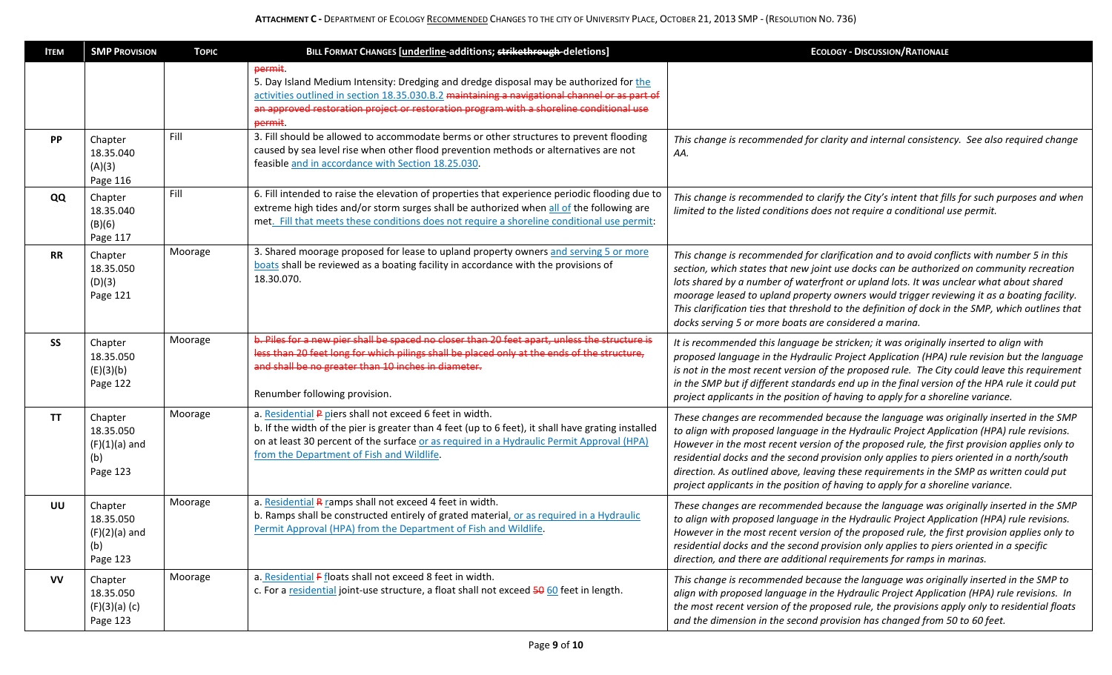| <b>ITEM</b> | <b>SMP PROVISION</b>                                       | <b>TOPIC</b> | BILL FORMAT CHANGES [underline-additions; strikethrough-deletions]                                                                                                                                                                                                                                       | <b>ECOLOGY - DISCUSSION/RATIONALE</b>                                                                                                                                                                                                                                                                                                                                                                                                                                                                                                                            |
|-------------|------------------------------------------------------------|--------------|----------------------------------------------------------------------------------------------------------------------------------------------------------------------------------------------------------------------------------------------------------------------------------------------------------|------------------------------------------------------------------------------------------------------------------------------------------------------------------------------------------------------------------------------------------------------------------------------------------------------------------------------------------------------------------------------------------------------------------------------------------------------------------------------------------------------------------------------------------------------------------|
|             |                                                            |              | permit.<br>5. Day Island Medium Intensity: Dredging and dredge disposal may be authorized for the<br>activities outlined in section 18.35.030.B.2 maintaining a navigational channel or as part of<br>an approved restoration project or restoration program with a shoreline conditional use<br>permit. |                                                                                                                                                                                                                                                                                                                                                                                                                                                                                                                                                                  |
| PP          | Chapter<br>18.35.040<br>(A)(3)<br>Page 116                 | Fill         | 3. Fill should be allowed to accommodate berms or other structures to prevent flooding<br>caused by sea level rise when other flood prevention methods or alternatives are not<br>feasible and in accordance with Section 18.25.030.                                                                     | This change is recommended for clarity and internal consistency. See also required change<br>AA.                                                                                                                                                                                                                                                                                                                                                                                                                                                                 |
| QQ          | Chapter<br>18.35.040<br>(B)(6)<br>Page 117                 | Fill         | 6. Fill intended to raise the elevation of properties that experience periodic flooding due to<br>extreme high tides and/or storm surges shall be authorized when all of the following are<br>met. Fill that meets these conditions does not require a shoreline conditional use permit:                 | This change is recommended to clarify the City's intent that fills for such purposes and when<br>limited to the listed conditions does not require a conditional use permit.                                                                                                                                                                                                                                                                                                                                                                                     |
| <b>RR</b>   | Chapter<br>18.35.050<br>(D)(3)<br>Page 121                 | Moorage      | 3. Shared moorage proposed for lease to upland property owners and serving 5 or more<br>boats shall be reviewed as a boating facility in accordance with the provisions of<br>18.30.070.                                                                                                                 | This change is recommended for clarification and to avoid conflicts with number 5 in this<br>section, which states that new joint use docks can be authorized on community recreation<br>lots shared by a number of waterfront or upland lots. It was unclear what about shared<br>moorage leased to upland property owners would trigger reviewing it as a boating facility.<br>This clarification ties that threshold to the definition of dock in the SMP, which outlines that<br>docks serving 5 or more boats are considered a marina.                      |
| SS          | Chapter<br>18.35.050<br>(E)(3)(b)<br>Page 122              | Moorage      | b. Piles for a new pier shall be spaced no closer than 20 feet apart, unless the structure is<br>less than 20 feet long for which pilings shall be placed only at the ends of the structure,<br>and shall be no greater than 10 inches in diameter.<br>Renumber following provision.                     | It is recommended this language be stricken; it was originally inserted to align with<br>proposed language in the Hydraulic Project Application (HPA) rule revision but the language<br>is not in the most recent version of the proposed rule. The City could leave this requirement<br>in the SMP but if different standards end up in the final version of the HPA rule it could put<br>project applicants in the position of having to apply for a shoreline variance.                                                                                       |
| <b>TT</b>   | Chapter<br>18.35.050<br>$(F)(1)(a)$ and<br>(b)<br>Page 123 | Moorage      | a. Residential P piers shall not exceed 6 feet in width.<br>b. If the width of the pier is greater than 4 feet (up to 6 feet), it shall have grating installed<br>on at least 30 percent of the surface or as required in a Hydraulic Permit Approval (HPA)<br>from the Department of Fish and Wildlife. | These changes are recommended because the language was originally inserted in the SMP<br>to align with proposed language in the Hydraulic Project Application (HPA) rule revisions.<br>However in the most recent version of the proposed rule, the first provision applies only to<br>residential docks and the second provision only applies to piers oriented in a north/south<br>direction. As outlined above, leaving these requirements in the SMP as written could put<br>project applicants in the position of having to apply for a shoreline variance. |
| UU          | Chapter<br>18.35.050<br>$(F)(2)(a)$ and<br>(b)<br>Page 123 | Moorage      | a. Residential R ramps shall not exceed 4 feet in width.<br>b. Ramps shall be constructed entirely of grated material, or as required in a Hydraulic<br>Permit Approval (HPA) from the Department of Fish and Wildlife.                                                                                  | These changes are recommended because the language was originally inserted in the SMP<br>to align with proposed language in the Hydraulic Project Application (HPA) rule revisions.<br>However in the most recent version of the proposed rule, the first provision applies only to<br>residential docks and the second provision only applies to piers oriented in a specific<br>direction, and there are additional requirements for ramps in marinas.                                                                                                         |
| <b>VV</b>   | Chapter<br>18.35.050<br>(F)(3)(a)(c)<br>Page 123           | Moorage      | a. Residential F floats shall not exceed 8 feet in width.<br>c. For a residential joint-use structure, a float shall not exceed 50 60 feet in length.                                                                                                                                                    | This change is recommended because the language was originally inserted in the SMP to<br>align with proposed language in the Hydraulic Project Application (HPA) rule revisions. In<br>the most recent version of the proposed rule, the provisions apply only to residential floats<br>and the dimension in the second provision has changed from 50 to 60 feet.                                                                                                                                                                                                |